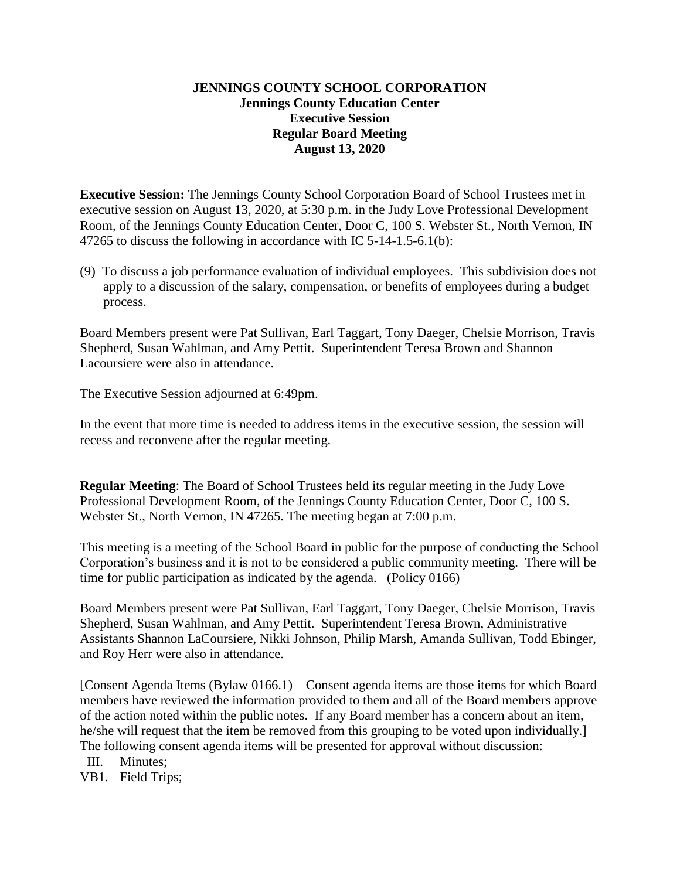## **JENNINGS COUNTY SCHOOL CORPORATION Jennings County Education Center Executive Session Regular Board Meeting August 13, 2020**

**Executive Session:** The Jennings County School Corporation Board of School Trustees met in executive session on August 13, 2020, at 5:30 p.m. in the Judy Love Professional Development Room, of the Jennings County Education Center, Door C, 100 S. Webster St., North Vernon, IN 47265 to discuss the following in accordance with IC 5-14-1.5-6.1(b):

(9) To discuss a job performance evaluation of individual employees. This subdivision does not apply to a discussion of the salary, compensation, or benefits of employees during a budget process.

Board Members present were Pat Sullivan, Earl Taggart, Tony Daeger, Chelsie Morrison, Travis Shepherd, Susan Wahlman, and Amy Pettit. Superintendent Teresa Brown and Shannon Lacoursiere were also in attendance.

The Executive Session adjourned at 6:49pm.

In the event that more time is needed to address items in the executive session, the session will recess and reconvene after the regular meeting.

**Regular Meeting**: The Board of School Trustees held its regular meeting in the Judy Love Professional Development Room, of the Jennings County Education Center, Door C, 100 S. Webster St., North Vernon, IN 47265. The meeting began at 7:00 p.m.

This meeting is a meeting of the School Board in public for the purpose of conducting the School Corporation's business and it is not to be considered a public community meeting. There will be time for public participation as indicated by the agenda. (Policy 0166)

Board Members present were Pat Sullivan, Earl Taggart, Tony Daeger, Chelsie Morrison, Travis Shepherd, Susan Wahlman, and Amy Pettit. Superintendent Teresa Brown, Administrative Assistants Shannon LaCoursiere, Nikki Johnson, Philip Marsh, Amanda Sullivan, Todd Ebinger, and Roy Herr were also in attendance.

[Consent Agenda Items (Bylaw 0166.1) – Consent agenda items are those items for which Board members have reviewed the information provided to them and all of the Board members approve of the action noted within the public notes. If any Board member has a concern about an item, he/she will request that the item be removed from this grouping to be voted upon individually.] The following consent agenda items will be presented for approval without discussion:

III. Minutes;

VB1. Field Trips;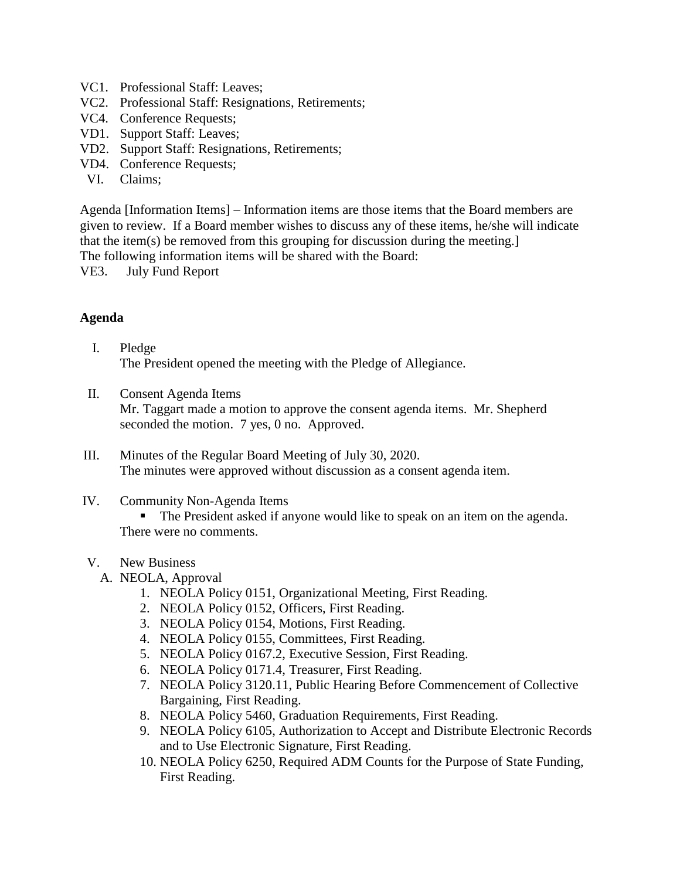- VC1. Professional Staff: Leaves;
- VC2. Professional Staff: Resignations, Retirements;
- VC4. Conference Requests;
- VD1. Support Staff: Leaves;
- VD2. Support Staff: Resignations, Retirements;
- VD4. Conference Requests;
- VI. Claims;

Agenda [Information Items] – Information items are those items that the Board members are given to review. If a Board member wishes to discuss any of these items, he/she will indicate that the item(s) be removed from this grouping for discussion during the meeting.]

The following information items will be shared with the Board:

VE3. July Fund Report

## **Agenda**

- I. Pledge The President opened the meeting with the Pledge of Allegiance.
- II. Consent Agenda Items Mr. Taggart made a motion to approve the consent agenda items. Mr. Shepherd seconded the motion. 7 yes, 0 no. Approved.
- III. Minutes of the Regular Board Meeting of July 30, 2020. The minutes were approved without discussion as a consent agenda item.

#### IV. Community Non-Agenda Items

 The President asked if anyone would like to speak on an item on the agenda. There were no comments.

#### V. New Business

- A. NEOLA, Approval
	- 1. NEOLA Policy 0151, Organizational Meeting, First Reading.
	- 2. NEOLA Policy 0152, Officers, First Reading.
	- 3. NEOLA Policy 0154, Motions, First Reading.
	- 4. NEOLA Policy 0155, Committees, First Reading.
	- 5. NEOLA Policy 0167.2, Executive Session, First Reading.
	- 6. NEOLA Policy 0171.4, Treasurer, First Reading.
	- 7. NEOLA Policy 3120.11, Public Hearing Before Commencement of Collective Bargaining, First Reading.
	- 8. NEOLA Policy 5460, Graduation Requirements, First Reading.
	- 9. NEOLA Policy 6105, Authorization to Accept and Distribute Electronic Records and to Use Electronic Signature, First Reading.
	- 10. NEOLA Policy 6250, Required ADM Counts for the Purpose of State Funding, First Reading.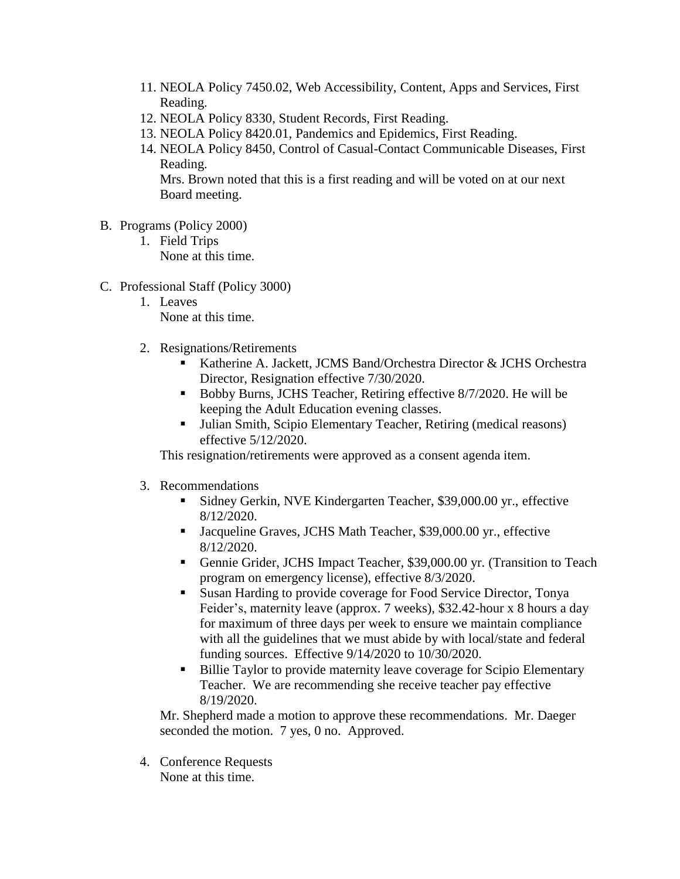- 11. NEOLA Policy 7450.02, Web Accessibility, Content, Apps and Services, First Reading.
- 12. NEOLA Policy 8330, Student Records, First Reading.
- 13. NEOLA Policy 8420.01, Pandemics and Epidemics, First Reading.
- 14. NEOLA Policy 8450, Control of Casual-Contact Communicable Diseases, First Reading.

Mrs. Brown noted that this is a first reading and will be voted on at our next Board meeting.

- B. Programs (Policy 2000)
	- 1. Field Trips None at this time.
- C. Professional Staff (Policy 3000)
	- 1. Leaves None at this time.
	- 2. Resignations/Retirements
		- Katherine A. Jackett, JCMS Band/Orchestra Director & JCHS Orchestra Director, Resignation effective 7/30/2020.
		- Bobby Burns, JCHS Teacher, Retiring effective 8/7/2020. He will be keeping the Adult Education evening classes.
		- Julian Smith, Scipio Elementary Teacher, Retiring (medical reasons) effective 5/12/2020.

This resignation/retirements were approved as a consent agenda item.

- 3. Recommendations
	- Sidney Gerkin, NVE Kindergarten Teacher, \$39,000.00 yr., effective 8/12/2020.
	- Jacqueline Graves, JCHS Math Teacher, \$39,000.00 yr., effective 8/12/2020.
	- Gennie Grider, JCHS Impact Teacher, \$39,000.00 yr. (Transition to Teach program on emergency license), effective 8/3/2020.
	- Susan Harding to provide coverage for Food Service Director, Tonya Feider's, maternity leave (approx. 7 weeks), \$32.42-hour x 8 hours a day for maximum of three days per week to ensure we maintain compliance with all the guidelines that we must abide by with local/state and federal funding sources. Effective 9/14/2020 to 10/30/2020.
	- Billie Taylor to provide maternity leave coverage for Scipio Elementary Teacher. We are recommending she receive teacher pay effective 8/19/2020.

Mr. Shepherd made a motion to approve these recommendations. Mr. Daeger seconded the motion. 7 yes, 0 no. Approved.

4. Conference Requests None at this time.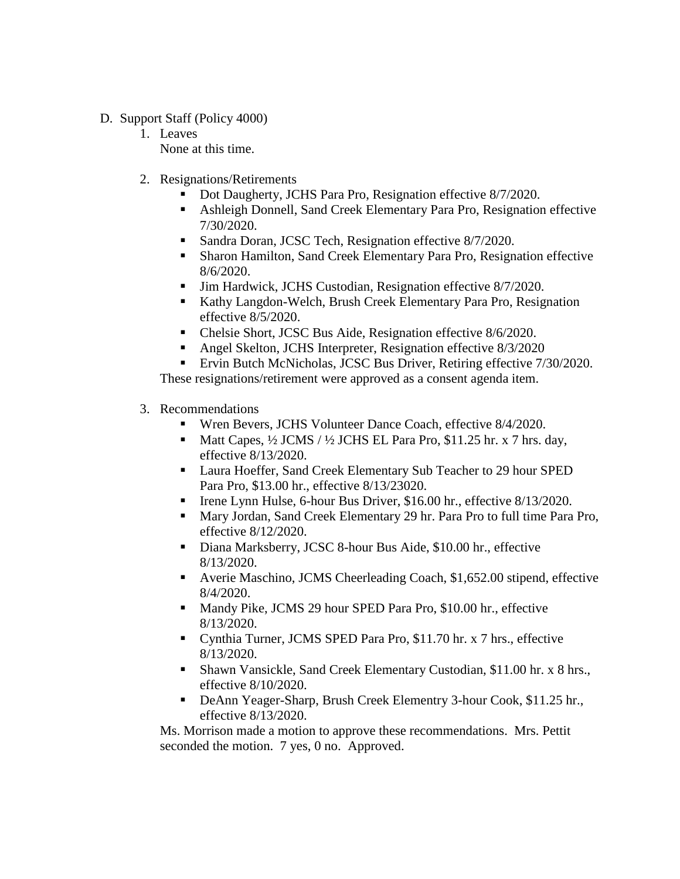- D. Support Staff (Policy 4000)
	- 1. Leaves None at this time.
	- 2. Resignations/Retirements
		- Dot Daugherty, JCHS Para Pro, Resignation effective 8/7/2020.
		- Ashleigh Donnell, Sand Creek Elementary Para Pro, Resignation effective 7/30/2020.
		- Sandra Doran, JCSC Tech, Resignation effective 8/7/2020.
		- Sharon Hamilton, Sand Creek Elementary Para Pro, Resignation effective 8/6/2020.
		- **Jim Hardwick, JCHS Custodian, Resignation effective 8/7/2020.**
		- Kathy Langdon-Welch, Brush Creek Elementary Para Pro, Resignation effective 8/5/2020.
		- Chelsie Short, JCSC Bus Aide, Resignation effective 8/6/2020.
		- **Angel Skelton, JCHS Interpreter, Resignation effective 8/3/2020**
		- **Ervin Butch McNicholas, JCSC Bus Driver, Retiring effective 7/30/2020.**

These resignations/retirement were approved as a consent agenda item.

- 3. Recommendations
	- Wren Bevers, JCHS Volunteer Dance Coach, effective 8/4/2020.
	- Matt Capes, ½ JCMS / ½ JCHS EL Para Pro, \$11.25 hr. x 7 hrs. day, effective 8/13/2020.
	- **Laura Hoeffer, Sand Creek Elementary Sub Teacher to 29 hour SPED** Para Pro, \$13.00 hr., effective 8/13/23020.
	- Irene Lynn Hulse, 6-hour Bus Driver, \$16.00 hr., effective 8/13/2020.
	- Mary Jordan, Sand Creek Elementary 29 hr. Para Pro to full time Para Pro, effective 8/12/2020.
	- Diana Marksberry, JCSC 8-hour Bus Aide, \$10.00 hr., effective 8/13/2020.
	- Averie Maschino, JCMS Cheerleading Coach, \$1,652.00 stipend, effective 8/4/2020.
	- **Mandy Pike, JCMS 29 hour SPED Para Pro, \$10.00 hr., effective** 8/13/2020.
	- Cynthia Turner, JCMS SPED Para Pro, \$11.70 hr. x 7 hrs., effective 8/13/2020.
	- Shawn Vansickle, Sand Creek Elementary Custodian, \$11.00 hr. x 8 hrs., effective 8/10/2020.
	- DeAnn Yeager-Sharp, Brush Creek Elementry 3-hour Cook, \$11.25 hr., effective 8/13/2020.

Ms. Morrison made a motion to approve these recommendations. Mrs. Pettit seconded the motion. 7 yes, 0 no. Approved.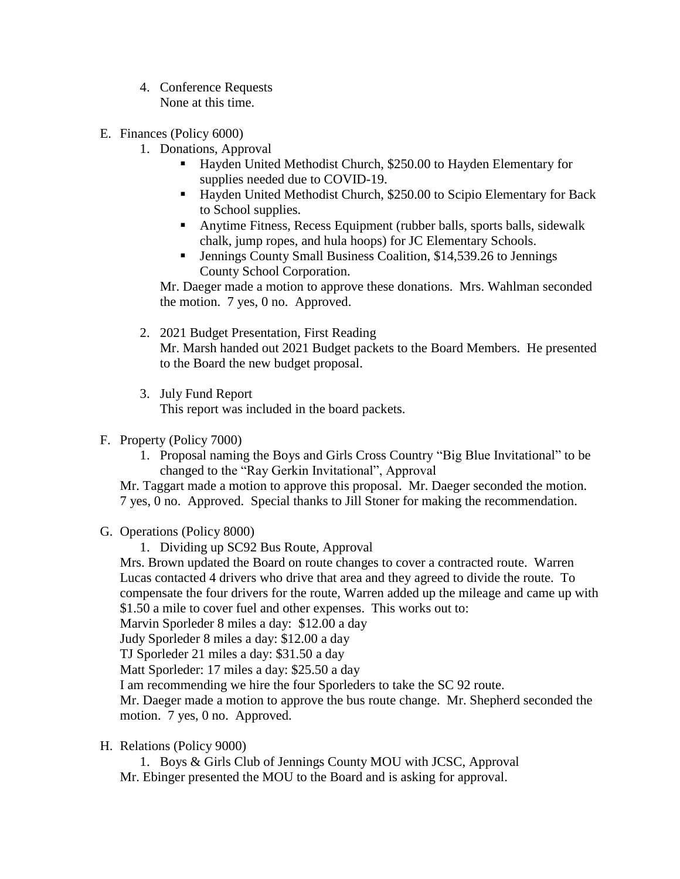- 4. Conference Requests None at this time.
- E. Finances (Policy 6000)
	- 1. Donations, Approval
		- Hayden United Methodist Church, \$250.00 to Hayden Elementary for supplies needed due to COVID-19.
		- Hayden United Methodist Church, \$250.00 to Scipio Elementary for Back to School supplies.
		- Anytime Fitness, Recess Equipment (rubber balls, sports balls, sidewalk chalk, jump ropes, and hula hoops) for JC Elementary Schools.
		- Jennings County Small Business Coalition, \$14,539.26 to Jennings County School Corporation.

Mr. Daeger made a motion to approve these donations. Mrs. Wahlman seconded the motion. 7 yes, 0 no. Approved.

- 2. 2021 Budget Presentation, First Reading Mr. Marsh handed out 2021 Budget packets to the Board Members. He presented to the Board the new budget proposal.
- 3. July Fund Report

This report was included in the board packets.

- F. Property (Policy 7000)
	- 1. Proposal naming the Boys and Girls Cross Country "Big Blue Invitational" to be changed to the "Ray Gerkin Invitational", Approval

Mr. Taggart made a motion to approve this proposal. Mr. Daeger seconded the motion. 7 yes, 0 no. Approved. Special thanks to Jill Stoner for making the recommendation.

- G. Operations (Policy 8000)
	- 1. Dividing up SC92 Bus Route, Approval

Mrs. Brown updated the Board on route changes to cover a contracted route. Warren Lucas contacted 4 drivers who drive that area and they agreed to divide the route. To compensate the four drivers for the route, Warren added up the mileage and came up with \$1.50 a mile to cover fuel and other expenses. This works out to:

Marvin Sporleder 8 miles a day: \$12.00 a day

Judy Sporleder 8 miles a day: \$12.00 a day

TJ Sporleder 21 miles a day: \$31.50 a day

Matt Sporleder: 17 miles a day: \$25.50 a day

I am recommending we hire the four Sporleders to take the SC 92 route.

Mr. Daeger made a motion to approve the bus route change. Mr. Shepherd seconded the motion. 7 yes, 0 no. Approved.

H. Relations (Policy 9000)

1. Boys & Girls Club of Jennings County MOU with JCSC, Approval Mr. Ebinger presented the MOU to the Board and is asking for approval.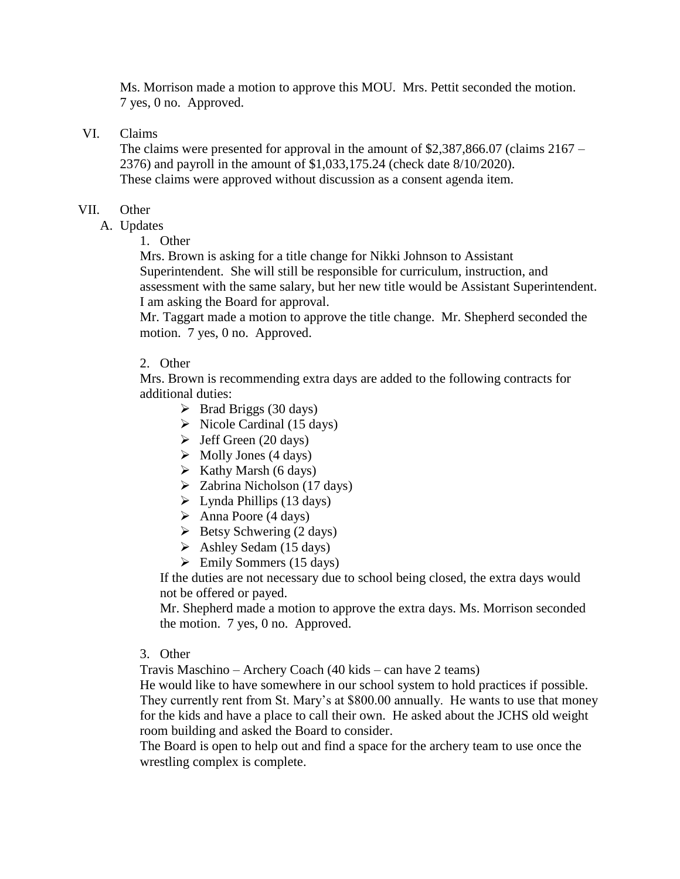Ms. Morrison made a motion to approve this MOU. Mrs. Pettit seconded the motion. 7 yes, 0 no. Approved.

VI. Claims

The claims were presented for approval in the amount of \$2,387,866.07 (claims 2167 – 2376) and payroll in the amount of \$1,033,175.24 (check date 8/10/2020). These claims were approved without discussion as a consent agenda item.

## VII. Other

A. Updates

1. Other

Mrs. Brown is asking for a title change for Nikki Johnson to Assistant Superintendent. She will still be responsible for curriculum, instruction, and assessment with the same salary, but her new title would be Assistant Superintendent. I am asking the Board for approval.

Mr. Taggart made a motion to approve the title change. Mr. Shepherd seconded the motion. 7 yes, 0 no. Approved.

## 2. Other

Mrs. Brown is recommending extra days are added to the following contracts for additional duties:

- $\triangleright$  Brad Briggs (30 days)
- $\triangleright$  Nicole Cardinal (15 days)
- $\blacktriangleright$  Jeff Green (20 days)
- $\triangleright$  Molly Jones (4 days)
- $\triangleright$  Kathy Marsh (6 days)
- $\geq$  Zabrina Nicholson (17 days)
- $\triangleright$  Lynda Phillips (13 days)
- $\triangleright$  Anna Poore (4 days)
- $\triangleright$  Betsy Schwering (2 days)
- $\triangleright$  Ashley Sedam (15 days)
- $\triangleright$  Emily Sommers (15 days)

If the duties are not necessary due to school being closed, the extra days would not be offered or payed.

Mr. Shepherd made a motion to approve the extra days. Ms. Morrison seconded the motion. 7 yes, 0 no. Approved.

#### 3. Other

Travis Maschino – Archery Coach (40 kids – can have 2 teams)

He would like to have somewhere in our school system to hold practices if possible. They currently rent from St. Mary's at \$800.00 annually. He wants to use that money for the kids and have a place to call their own. He asked about the JCHS old weight room building and asked the Board to consider.

The Board is open to help out and find a space for the archery team to use once the wrestling complex is complete.